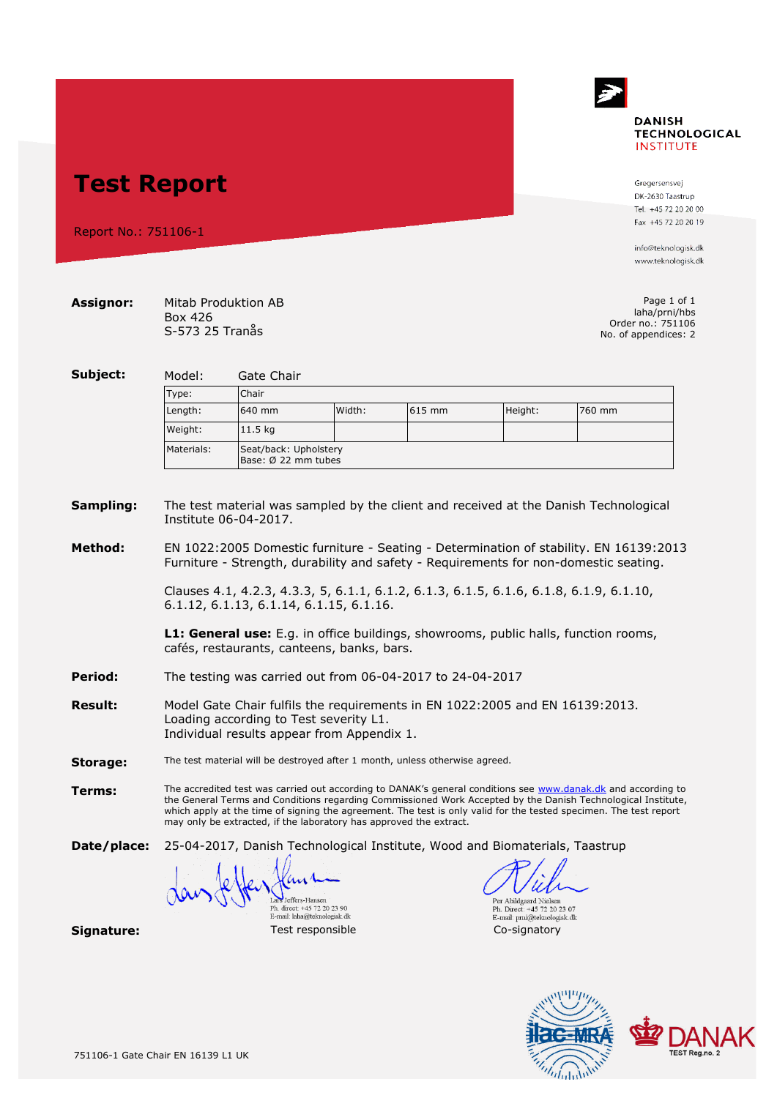# **DANISH TECHNOLOGICAL INSTITUTE**

**Test Report**

Report No.: 751106-1

#### **Assignor:** Mitab Produktion AB Box 426 S-573 25 Tranås

www.teknologisk.dk

info@teknologisk.dk

Gregersensvej DK-2630 Taastrun Tel. +45 72 20 20 00 Fax +45 72 20 20 19

Page 1 of 1 laha/prni/hbs Order no.: 751106 No. of appendices: 2

**Subject:** Model: Gate Chair Type: Chair Length: 640 mm Width: 615 mm Height: 760 mm Weight: 11.5 kg Materials: Seat/back: Upholstery Base: Ø 22 mm tubes

#### **Sampling:** The test material was sampled by the client and received at the Danish Technological Institute 06-04-2017.

**Method:** EN 1022:2005 Domestic furniture - Seating - Determination of stability. EN 16139:2013 Furniture - Strength, durability and safety - Requirements for non-domestic seating.

> Clauses 4.1, 4.2.3, 4.3.3, 5, 6.1.1, 6.1.2, 6.1.3, 6.1.5, 6.1.6, 6.1.8, 6.1.9, 6.1.10, 6.1.12, 6.1.13, 6.1.14, 6.1.15, 6.1.16.

**L1: General use:** E.g. in office buildings, showrooms, public halls, function rooms, cafés, restaurants, canteens, banks, bars.

- **Period:** The testing was carried out from 06-04-2017 to 24-04-2017
- **Result:** Model Gate Chair fulfils the requirements in EN 1022:2005 and EN 16139:2013. Loading according to Test severity L1. Individual results appear from Appendix 1.
- **Storage:** The test material will be destroyed after 1 month, unless otherwise agreed.
- **Terms:** The accredited test was carried out according to DANAK's general conditions see [www.danak.dk](http://www.danak.dk/) and according to the General Terms and Conditions regarding Commissioned Work Accepted by the Danish Technological Institute, which apply at the time of signing the agreement. The test is only valid for the tested specimen. The test report may only be extracted, if the laboratory has approved the extract.

**Date/place:** 25-04-2017, Danish Technological Institute, Wood and Biomaterials, Taastrup

**Signature:**<br>
Test responsible<br>
Test responsible<br>
Test responsible<br>
Test responsible<br>
Co-signatory Lars Jeffers-Hansen<br>Ph. direct: +45 72 20 23 90 E-mail: laha@teknologisk.dk

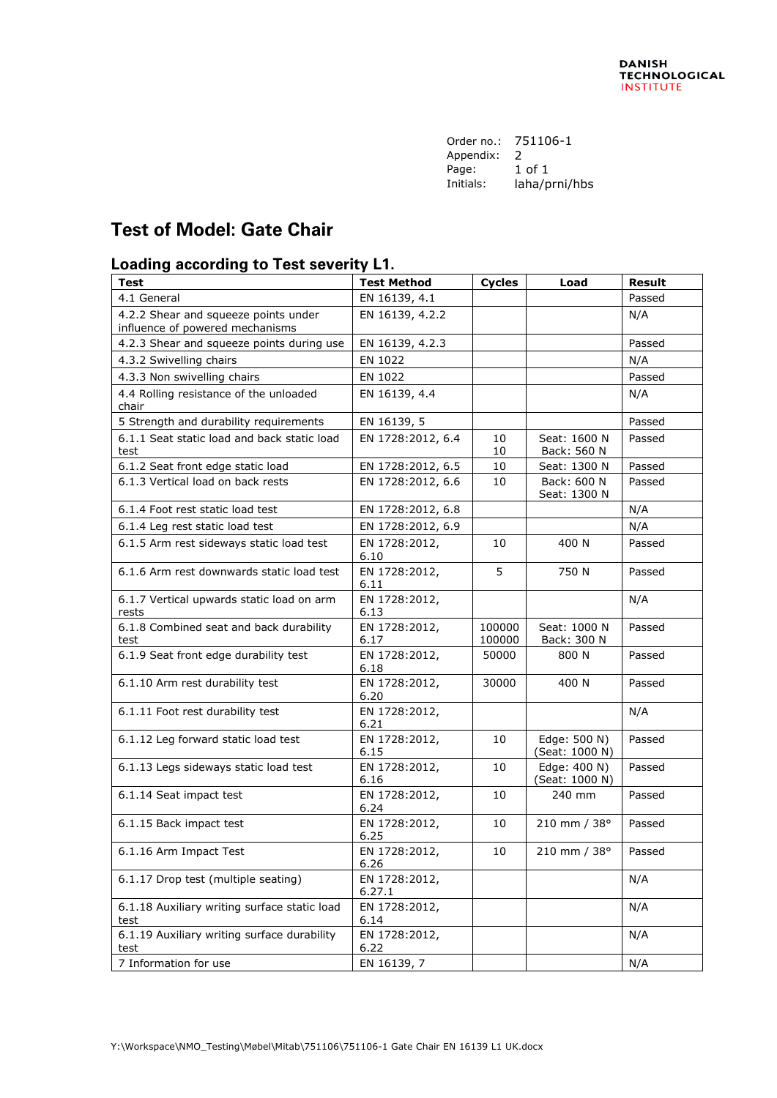| Order no.: | 751106-1      |
|------------|---------------|
| Appendix:  | 2             |
| Page:      | 1 of 1        |
| Initials:  | laha/prni/hbs |
|            |               |

# **Test of Model: Gate Chair**

#### **Loading according to Test severity L1.**

| <b>Test</b>                                                             | <b>Test Method</b>      | <b>Cycles</b>    | Load                           | <b>Result</b> |
|-------------------------------------------------------------------------|-------------------------|------------------|--------------------------------|---------------|
| 4.1 General                                                             | EN 16139, 4.1           |                  |                                | Passed        |
| 4.2.2 Shear and squeeze points under<br>influence of powered mechanisms | EN 16139, 4.2.2         |                  |                                | N/A           |
| 4.2.3 Shear and squeeze points during use                               | EN 16139, 4.2.3         |                  |                                | Passed        |
| 4.3.2 Swivelling chairs                                                 | EN 1022                 |                  |                                | N/A           |
| 4.3.3 Non swivelling chairs                                             | EN 1022                 |                  |                                | Passed        |
| 4.4 Rolling resistance of the unloaded<br>chair                         | EN 16139, 4.4           |                  |                                | N/A           |
| 5 Strength and durability requirements                                  | EN 16139, 5             |                  |                                | Passed        |
| 6.1.1 Seat static load and back static load<br>test                     | EN 1728:2012, 6.4       | 10<br>10         | Seat: 1600 N<br>Back: 560 N    | Passed        |
| 6.1.2 Seat front edge static load                                       | EN 1728:2012, 6.5       | 10               | Seat: 1300 N                   | Passed        |
| 6.1.3 Vertical load on back rests                                       | EN 1728:2012, 6.6       | 10               | Back: 600 N<br>Seat: 1300 N    | Passed        |
| 6.1.4 Foot rest static load test                                        | EN 1728:2012, 6.8       |                  |                                | N/A           |
| 6.1.4 Leg rest static load test                                         | EN 1728:2012, 6.9       |                  |                                | N/A           |
| 6.1.5 Arm rest sideways static load test                                | EN 1728:2012,<br>6.10   | 10               | 400 N                          | Passed        |
| 6.1.6 Arm rest downwards static load test                               | EN 1728:2012,<br>6.11   | 5                | 750 N                          | Passed        |
| 6.1.7 Vertical upwards static load on arm<br>rests                      | EN 1728:2012,<br>6.13   |                  |                                | N/A           |
| 6.1.8 Combined seat and back durability<br>test                         | EN 1728:2012,<br>6.17   | 100000<br>100000 | Seat: 1000 N<br>Back: 300 N    | Passed        |
| 6.1.9 Seat front edge durability test                                   | EN 1728:2012,<br>6.18   | 50000            | 800 N                          | Passed        |
| 6.1.10 Arm rest durability test                                         | EN 1728:2012,<br>6.20   | 30000            | 400 N                          | Passed        |
| 6.1.11 Foot rest durability test                                        | EN 1728:2012,<br>6.21   |                  |                                | N/A           |
| 6.1.12 Leg forward static load test                                     | EN 1728:2012,<br>6.15   | 10               | Edge: 500 N)<br>(Seat: 1000 N) | Passed        |
| 6.1.13 Legs sideways static load test                                   | EN 1728:2012,<br>6.16   | 10               | Edge: 400 N)<br>(Seat: 1000 N) | Passed        |
| 6.1.14 Seat impact test                                                 | EN 1728:2012,<br>6.24   | 10               | 240 mm                         | Passed        |
| 6.1.15 Back impact test                                                 | EN 1728:2012,<br>6.25   | 10               | 210 mm / 38°                   | Passed        |
| 6.1.16 Arm Impact Test                                                  | EN 1728:2012,<br>6.26   | 10               | 210 mm / 38°                   | Passed        |
| 6.1.17 Drop test (multiple seating)                                     | EN 1728:2012,<br>6.27.1 |                  |                                | N/A           |
| 6.1.18 Auxiliary writing surface static load<br>test                    | EN 1728:2012,<br>6.14   |                  |                                | N/A           |
| 6.1.19 Auxiliary writing surface durability<br>test                     | EN 1728:2012,<br>6.22   |                  |                                | N/A           |
| 7 Information for use                                                   | EN 16139, 7             |                  |                                | N/A           |